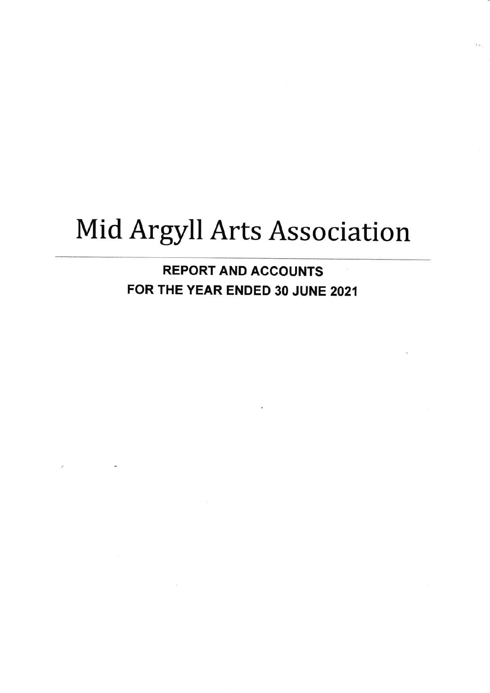# Mid Argyll Arts Association

REPORT AND ACCOUNTS FOR THE YEAR ENDED 30 JUNE 2021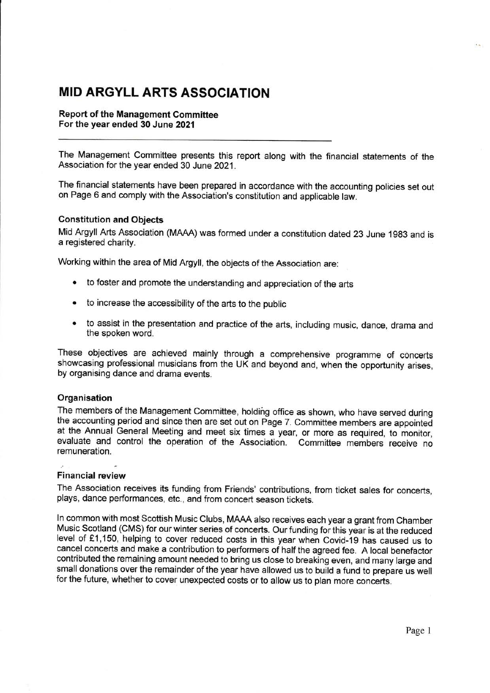### MID ARGYLL ARTS ASSOGIATION

Report of the Management Committee For the year ended 30 June 2021

The Management Committee presents this report along with the financial statements of the Association for the year ended 30 June 2021.

The financial statements have been prepared in accordance with the accounting policies set out on Page 6 and comply with the Association's constitution and applicable law.

#### Constitution and Objects

Mid Argyll Arts Association (MAAA) was formed under a constitution dated 23 June 1983 and is a registered charity.

working within the area of Mid Argyll, the objects of the Association are:

- e to foster and promote the understanding and appreciation of the arts
- to increase the accessibility of the arts to the public
- o to assist in the presentation and practice of the arts, including music, dance, drama and the spoken word.

These objectives are achieved mainly through a comprehensive programme of concerts showcasing professional musicians from the UK and beyond and, when the opportunity arises, by organising dance and drama events.

#### **Organisation**

The members of the Management Committee, holding office as shown, who have served during the accounting period and since then are set out on Page 7. Committee members are appointed at the Annual General Meeting and meet six times a year, or more as required, to monitor, evaluate and control the operation of the Association. Committee members receive no remuneration.

#### Financial review

The Association receives its funding from Friends' contributions, from ticket sales for concerts, plays, dance performances, etc., and from concert season tickets.

ln common with most Scottish Music Clubs, MAAA also receives each year a grant from Chamber Music Scotland (CMS) for our winter series of concerts. Our funding for this year is at the reduced level of £1,150, helping to cover reduced costs in this year when Covid-19 has caused us to cancel concerts and make a contribution to performers of half the agreed fee. A local benefactor contributed the remaining amount needed to bring us close to breaking even, and many large and small donations over the remainder of the year have allowed us to build a fund to prepare us well for the future, whether to cover unexpected costs or to allow us to plan more concerts.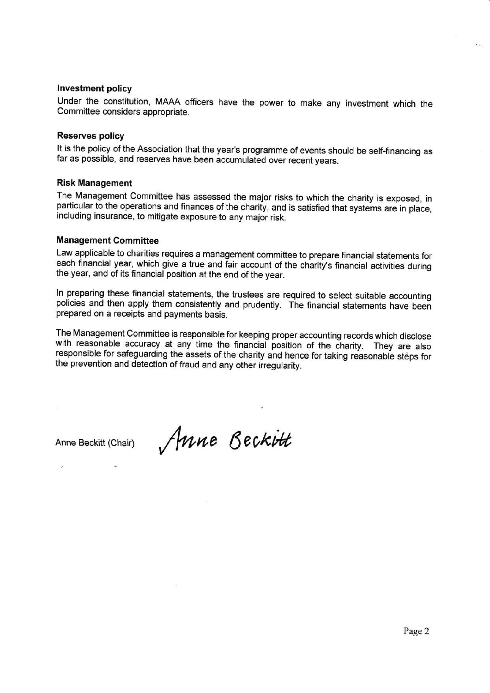#### lnvestment policy

Under the constitution, MAAA officers have the power to make any investment which the Committee considers appropriate.

#### Reserves policy

It is the policy of the Association that the year's programme of events should be self-financing as far as possible, and reserves have been accumulated over recent years.

#### Risk Management

The Management Committee has assessed the major risks to which the charity is exposed, in particular to the operations and finances of the charity, and is satisfied that systems are in place, including insurance, to mitigate exposure to any major risk.

#### Management Gommittee

Law applicable to charities requires a management committee to prepare financial statements for each financial year, which give a true and fair account of the charity's financial activities during the year, and of its financial position at the end of the year.

In preparing these financial statements, the trustees are required to select suitable accounting policies and then apply them consistently and prudently. The financial statements have been prepared on a receipts and paymen

The Management Committee is responsible for keeping proper accounting records which disclose with reasonable accuracy at any time the financial position of the charity. They are also responsible for safeguarding the assets of the charity and hence for taking reasonable steps for the prevention and detection of fraud and any other irregularity.

Anne Beckitt (Chair)  $\int$  Mne Beckitt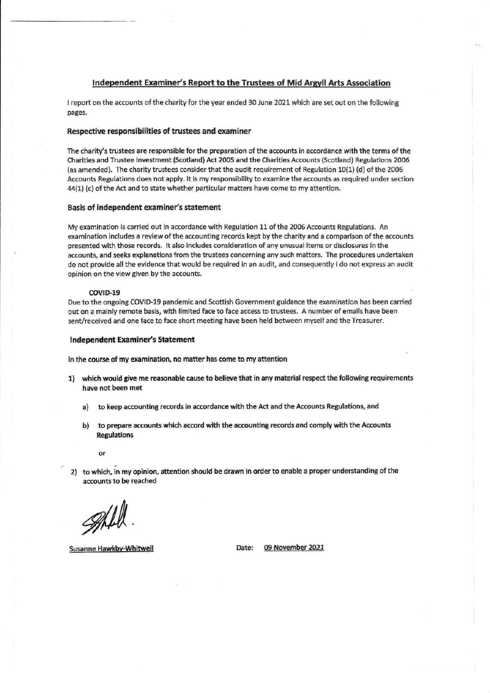#### Independent Examiner's Report to the Trustees of Mid Argyll Arts Association

I report on the accounts of the charity for the year ended 30 June 2021 which are set out on the following pages.

#### Respective responsibilities of trustees and examiner

The charity's trustees are responsible for the preparation of the accounts in accordance with the terms of the Charities and Trustee Investment (Scotland) Act 2005 and the Charities Accounts (Scotland) Regulations 2006 (as amended). The charity trustees consider that the audit requirement of Regulation 10(1) (d) of the 2006 Accounts Regulations does not apply. It is my responsibility to examine the accounts as required under section  $44(1)$  (c) of the Act and to state whether particular matters have come to my attention.

#### Basis of independent examiner's statement

My examination is carried out in accordance with Regulation 11 of the 2006 Accounts Regulations. An examination includes a review of the accounting records kept by the charity and a comparison of the accounts presented with those records. It also includes consideration of any unusual items or disclosures in the accounts, and seeks explanations from the trustees concerning any such matters. The procedures undertaken do not provide all the evidence that would be required in an audit, and consequently I do not express an audit opinion on the view given by the accounts.

#### COVID-19

Due to the ongoing COVID-19 pandemic and Scottish Government guidance the examination has been carried out on a mainly remote basis, with limited face to face access to trustees. A number of emails have been sent/received and one face to face short meeting have been held between myself and the Treasurer.

#### lndependent Exarniner's Statement

In the course of my examination, no matter has come to my attention

- 1) which would give me reasonable cause to believe that in any material respect the following requirements have not been met
	- a) to keep accounting records in accordance with the Act and the Accounts Regulations, and
	- b) to prepare accounts which accord with the accounting records and comply with the Accounts **Regulations**

or

2) to which, in my opinion, attention should be drawn in order to enable a proper understanding of the accounts to be reached

grav

Susanne Hawkby-Whitwell **Example 2021** Date: 09 November 2021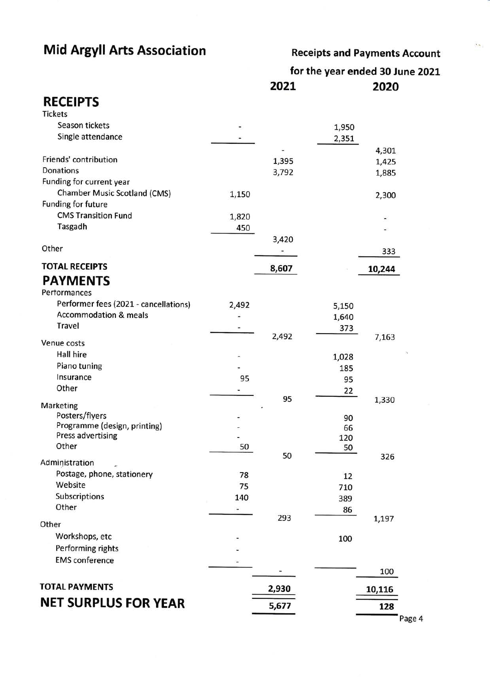## Mid Argyll Arts Association

Receipts and Payments Account

 $\mathcal{L}_{\mathcal{D}}$ 

for the year ended 30 June 2O2L 202L 2020

### **RECEIPTS**

| <b>Tickets</b>                             |                |       |                |        |
|--------------------------------------------|----------------|-------|----------------|--------|
| Season tickets                             |                |       | 1,950          |        |
| Single attendance                          |                |       | 2,351          |        |
|                                            |                |       |                | 4,301  |
| Friends' contribution                      |                | 1,395 |                | 1,425  |
| Donations                                  |                | 3,792 |                | 1,885  |
| Funding for current year                   |                |       |                |        |
| <b>Chamber Music Scotland (CMS)</b>        | 1,150          |       |                | 2,300  |
| Funding for future                         |                |       |                |        |
| <b>CMS Transition Fund</b>                 | 1,820          |       |                |        |
| Tasgadh                                    | 450            |       |                |        |
|                                            |                | 3,420 |                |        |
| Other                                      |                |       |                | 333    |
| <b>TOTAL RECEIPTS</b>                      |                | 8,607 |                | 10,244 |
| <b>PAYMENTS</b>                            |                |       |                |        |
| Pertormances                               |                |       |                |        |
| Performer fees (2021 - cancellations)      | 2,492          |       |                |        |
| <b>Accommodation &amp; meals</b>           |                |       | 5,150<br>1,640 |        |
| Travel                                     |                |       | 373            |        |
|                                            |                | 2,492 |                | 7,163  |
| Venue costs                                |                |       |                |        |
| Hall hire                                  |                |       | 1,028          |        |
| Piano tuning                               |                |       | 185            |        |
| Insurance                                  | 95             |       | 95             |        |
| Other                                      |                |       | 22             |        |
| Marketing                                  |                | 95    |                | 1,330  |
| Posters/flyers                             |                |       | 90             |        |
| Programme (design, printing)               |                |       | 66             |        |
| <b>Press advertising</b>                   |                |       | 120            |        |
| Other                                      | 50             |       | 50             |        |
| Administration                             |                | 50    |                | 326    |
| Postage, phone, stationery                 | 78             |       | 12             |        |
| Website                                    | 75             |       | 710            |        |
| Subscriptions                              | 140            |       | 389            |        |
| Other                                      | $\overline{a}$ |       | 86             |        |
| Other                                      |                | 293   |                | 1,197  |
| Workshops, etc                             |                |       |                |        |
|                                            |                |       | 100            |        |
| Performing rights<br><b>EMS</b> conference |                |       |                |        |
|                                            |                |       |                | 100    |
|                                            |                |       |                |        |
| <b>TOTAL PAYMENTS</b>                      |                | 2,930 |                | 10,116 |
| <b>NET SURPLUS FOR YEAR</b>                |                | 5,677 |                | 128    |
|                                            |                |       |                |        |

Page 4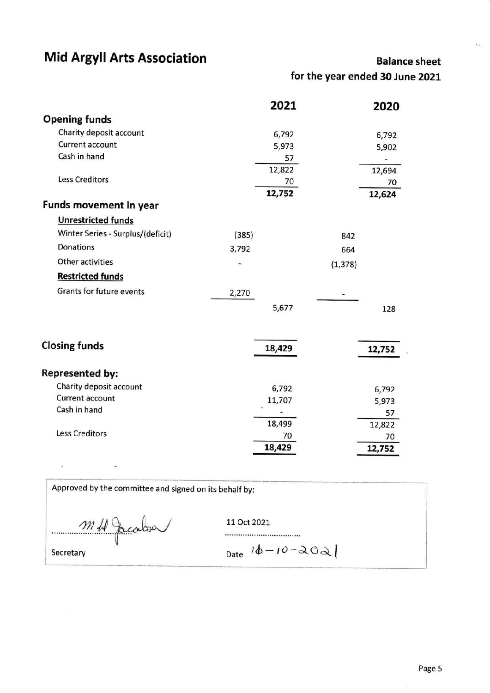### Mid Argyll Arts Association

### Balance sheet

for the year ended 30 June 2OZl

|                                   | 2021   |          | 2020                     |
|-----------------------------------|--------|----------|--------------------------|
| <b>Opening funds</b>              |        |          |                          |
| Charity deposit account           | 6,792  |          | 6,792                    |
| <b>Current account</b>            | 5,973  |          | 5,902                    |
| Cash in hand                      | 57     |          | $\overline{\phantom{a}}$ |
|                                   | 12,822 |          | 12,694                   |
| <b>Less Creditors</b>             | 70     |          | 70                       |
|                                   | 12,752 |          | 12,624                   |
| Funds movement in year            |        |          |                          |
| <b>Unrestricted funds</b>         |        |          |                          |
| Winter Series - Surplus/(deficit) | (385)  | 842      |                          |
| Donations                         | 3,792  | 664      |                          |
| Other activities                  |        | (1, 378) |                          |
| <b>Restricted funds</b>           |        |          |                          |
| <b>Grants for future events</b>   | 2,270  |          |                          |
|                                   | 5,677  |          | 128                      |
| <b>Closing funds</b>              | 18,429 |          | 12,752                   |
| <b>Represented by:</b>            |        |          |                          |
| Charity deposit account           | 6,792  |          | 6,792                    |
| Current account                   | 11,707 |          | 5,973                    |
| Cash in hand                      |        |          | 57                       |
|                                   | 18,499 |          | 12,822                   |
| <b>Less Creditors</b>             | 70     |          | 70                       |
|                                   | 18,429 |          | 12,752                   |

Approved by the committee and signed on its behalf by:

 $m$ H Jacobsa {I

 $\overline{\phantom{a}}$ 

 $\mathcal{D}^{\pm}$  and  $\mathcal{D}^{\pm}$  .

11 Oct 2021

Secretary  $\begin{vmatrix} 0 & 0 \\ 0 & -\lambda \end{vmatrix}$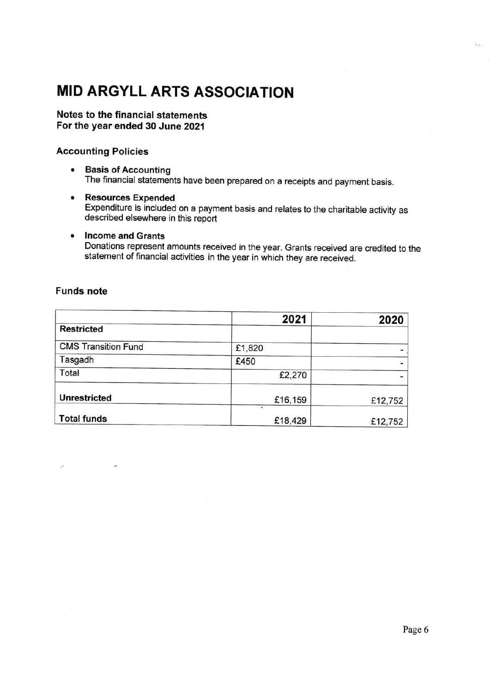# MID ARGYLL ARTS ASSOCIATION

#### Notes to the financial statements For the year ended 30 June 2021

#### Accounting Policies

- **Basis of Accounting** The financial statements have been prepared on a receipts and payment basis.
- o Resources Expended Expenditure is included on a payment basis and relates to the charitable activity as described elsewhere in this report
- Income and Grants Donations represent amounts received in the year. Grants received are credited to the statement of financial activities in the year in which they are received.

#### Funds note

|                            | 2021    | 2020    |
|----------------------------|---------|---------|
| <b>Restricted</b>          |         |         |
| <b>CMS Transition Fund</b> | £1,820  |         |
| Tasgadh                    | £450    |         |
| Total                      | £2,270  |         |
| <b>Unrestricted</b>        | £16,159 | £12,752 |
| <b>Total funds</b>         | £18,429 | £12,752 |